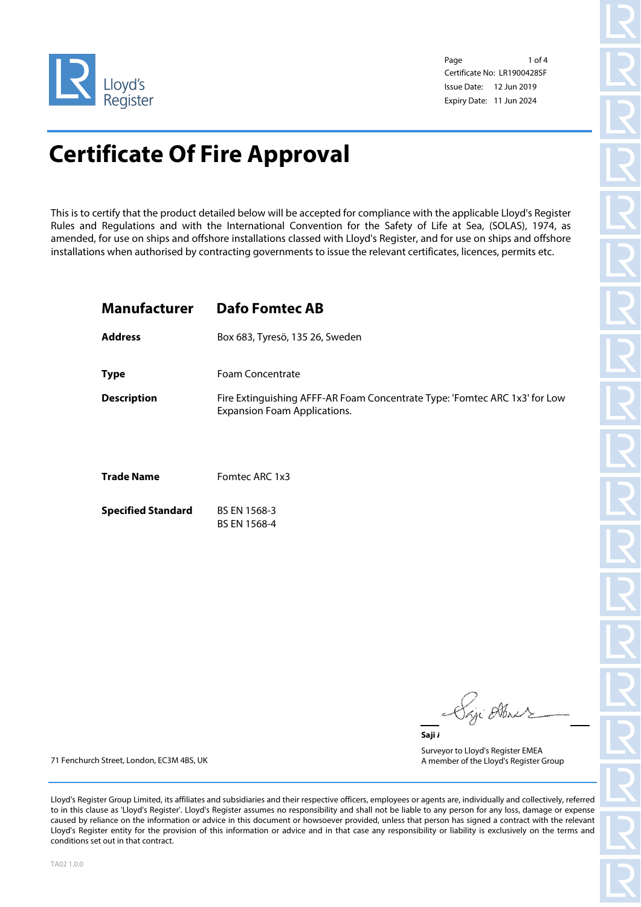

Page 1 of 4 Certificate No: LR1900428SF Issue Date: 12 Jun 2019 Expiry Date: 11 Jun 2024

## **Certificate Of Fire Approval**

This is to certify that the product detailed below will be accepted for compliance with the applicable Lloyd's Register Rules and Regulations and with the International Convention for the Safety of Life at Sea, (SOLAS), 1974, as amended, for use on ships and offshore installations classed with Lloyd's Register, and for use on ships and offshore installations when authorised by contracting governments to issue the relevant certificates, licences, permits etc.

### **Manufacturer Dafo Fomtec AB**

**Address** Box 683, Tyresö, 135 26, Sweden

**Type** Foam Concentrate

**Description** Fire Extinguishing AFFF-AR Foam Concentrate Type: 'Fomtec ARC 1x3' for Low Expansion Foam Applications.

**Trade Name** Fomtec ARC 1x3

**Specified Standard** BS EN 1568-3 BS EN 1568-4

in Ab. Saji /

Surveyor to Lloyd's Register EMEA A member of the Lloyd's Register Group

71 Fenchurch Street, London, EC3M 4BS, UK

Lloyd's Register Group Limited, its affiliates and subsidiaries and their respective officers, employees or agents are, individually and collectively, referred to in this clause as 'Lloyd's Register'. Lloyd's Register assumes no responsibility and shall not be liable to any person for any loss, damage or expense caused by reliance on the information or advice in this document or howsoever provided, unless that person has signed a contract with the relevant Lloyd's Register entity for the provision of this information or advice and in that case any responsibility or liability is exclusively on the terms and conditions set out in that contract.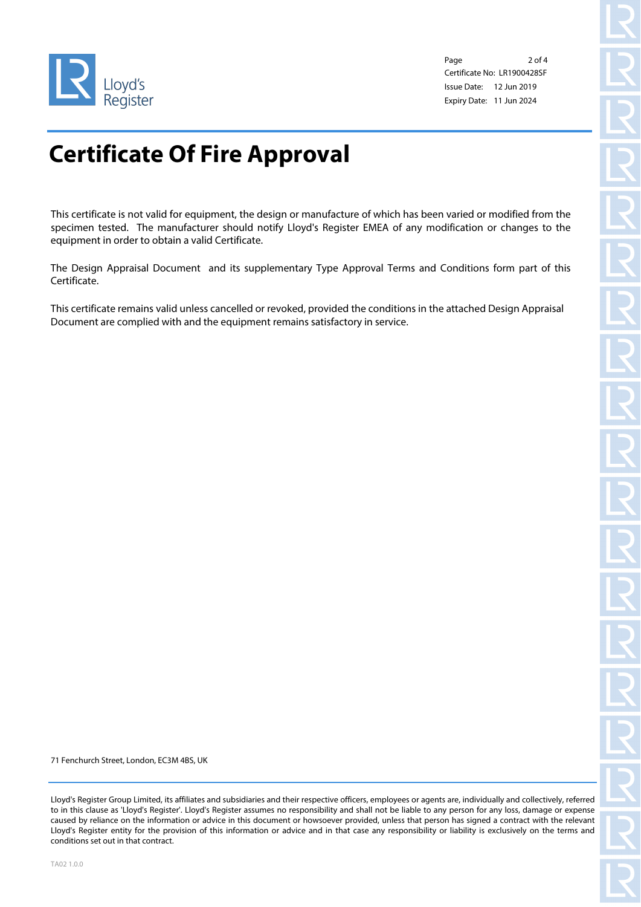

Page 2 of 4 Certificate No: LR1900428SF Issue Date: 12 Jun 2019 Expiry Date: 11 Jun 2024

# **Certificate Of Fire Approval**

This certificate is not valid for equipment, the design or manufacture of which has been varied or modified from the specimen tested. The manufacturer should notify Lloyd's Register EMEA of any modification or changes to the equipment in order to obtain a valid Certificate.

The Design Appraisal Document and its supplementary Type Approval Terms and Conditions form part of this Certificate.

This certificate remains valid unless cancelled or revoked, provided the conditions in the attached Design Appraisal Document are complied with and the equipment remains satisfactory in service.

71 Fenchurch Street, London, EC3M 4BS, UK

Lloyd's Register Group Limited, its affiliates and subsidiaries and their respective officers, employees or agents are, individually and collectively, referred to in this clause as 'Lloyd's Register'. Lloyd's Register assumes no responsibility and shall not be liable to any person for any loss, damage or expense caused by reliance on the information or advice in this document or howsoever provided, unless that person has signed a contract with the relevant Lloyd's Register entity for the provision of this information or advice and in that case any responsibility or liability is exclusively on the terms and conditions set out in that contract.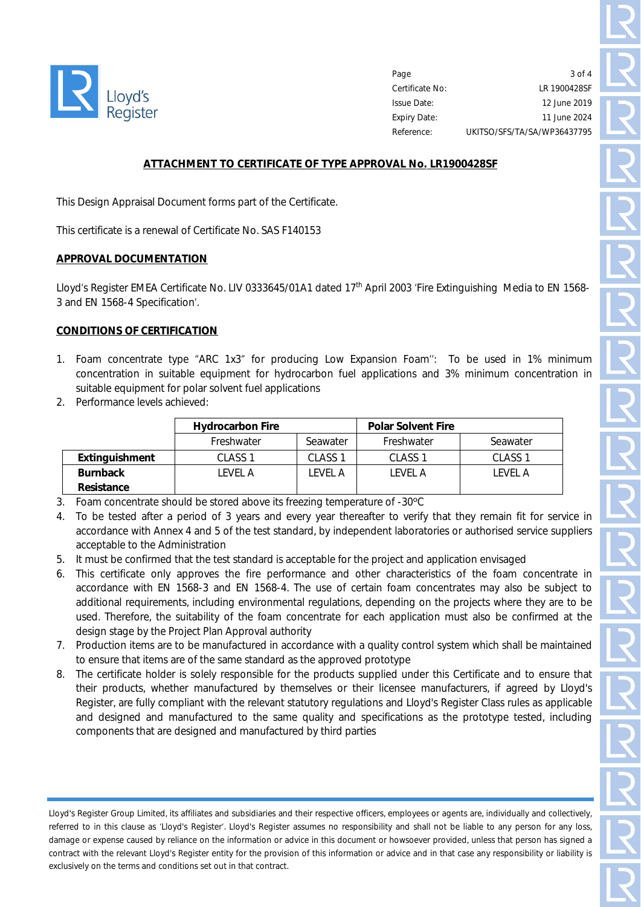

Page Certificate No: Issue Date: Expiry Date: Reference:  $3$  of  $\Delta$ LR 1900428SF 12 June 2019 11 June 2024 UKITSO/SFS/TA/SA/WP36437795

#### **ATTACHMENT TO CERTIFICATE OF TYPE APPROVAL No. LR1900428SF**

This Design Appraisal Document forms part of the Certificate.

This certificate is a renewal of Certificate No. SAS F140153

#### **APPROVAL DOCUMENTATION**

Lloyd's Register EMEA Certificate No. LIV 0333645/01A1 dated 17<sup>th</sup> April 2003 'Fire Extinguishing Media to EN 1568-3 and EN 1568-4 Specification'.

#### **CONDITIONS OF CERTIFICATION**

- 1. Foam concentrate type "ARC 1x3" for producing Low Expansion Foam'': To be used in 1% minimum concentration in suitable equipment for hydrocarbon fuel applications and 3% minimum concentration in suitable equipment for polar solvent fuel applications
- 2. Performance levels achieved:

|                       | <b>Hydrocarbon Fire</b> |                    | <b>Polar Solvent Fire</b> |                    |
|-----------------------|-------------------------|--------------------|---------------------------|--------------------|
|                       | Freshwater              | Seawater           | Freshwater                | Seawater           |
| <b>Extinguishment</b> | CLASS <sub>1</sub>      | CLASS <sub>1</sub> | CLASS <sub>1</sub>        | CLASS <sub>1</sub> |
| <b>Burnback</b>       | I FVFI A                | I FVFI A           | I FVFI A                  | I FVFI A           |
| Resistance            |                         |                    |                           |                    |

- 3. Foam concentrate should be stored above its freezing temperature of -30ºC
- 4. To be tested after a period of 3 years and every year thereafter to verify that they remain fit for service in accordance with Annex 4 and 5 of the test standard, by independent laboratories or authorised service suppliers acceptable to the Administration
- 5. It must be confirmed that the test standard is acceptable for the project and application envisaged
- 6. This certificate only approves the fire performance and other characteristics of the foam concentrate in accordance with EN 1568-3 and EN 1568-4. The use of certain foam concentrates may also be subject to additional requirements, including environmental regulations, depending on the projects where they are to be used. Therefore, the suitability of the foam concentrate for each application must also be confirmed at the design stage by the Project Plan Approval authority
- 7. Production items are to be manufactured in accordance with a quality control system which shall be maintained to ensure that items are of the same standard as the approved prototype
- 8. The certificate holder is solely responsible for the products supplied under this Certificate and to ensure that their products, whether manufactured by themselves or their licensee manufacturers, if agreed by Lloyd's Register, are fully compliant with the relevant statutory regulations and Lloyd's Register Class rules as applicable and designed and manufactured to the same quality and specifications as the prototype tested, including components that are designed and manufactured by third parties

Lloyd's Register Group Limited, its affiliates and subsidiaries and their respective officers, employees or agents are, individually and collectively, referred to in this clause as 'Lloyd's Register'. Lloyd's Register assumes no responsibility and shall not be liable to any person for any loss, damage or expense caused by reliance on the information or advice in this document or howsoever provided, unless that person has signed a contract with the relevant Lloyd's Register entity for the provision of this information or advice and in that case any responsibility or liability is exclusively on the terms and conditions set out in that contract.